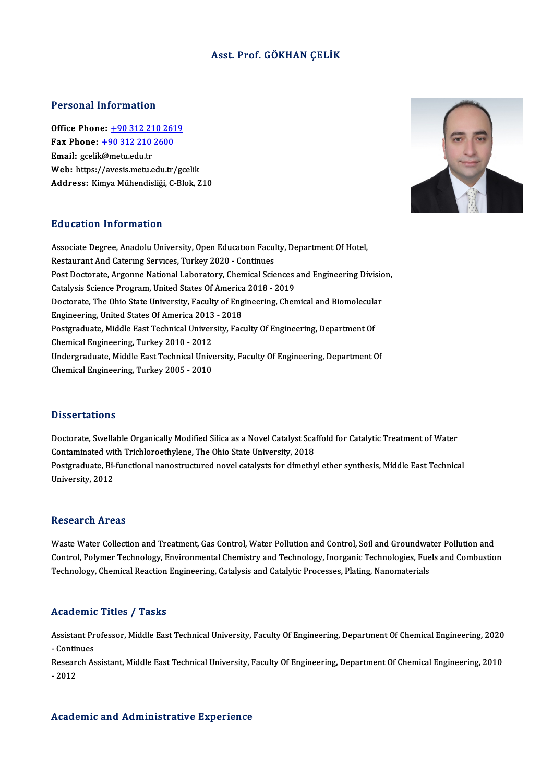# Asst. Prof. GÖKHAN ÇELİK

## Personal Information

Office Phone: +90 312 210 2619 Fax Phone: <u>+90 312 210 261</u><br>Fax Phone: <u>+90 312 210 2600</u><br>Fmail: scolik@matu.edu.tr Office Phone: <u>+90 312 21</u><br>Fax Phone: <u>+90 312 210</u><br>Email: gceli[k@metu.edu.tr](tel:+90 312 210 2600)<br>Web: https://avesis.metu.e Email: gcelik@metu.edu.tr<br>Web: https://avesis.metu.edu.tr/gcelik Address: Kimya Mühendisliği, C-Blok, Z10



## Education Information

Education Information<br>Associate Degree, Anadolu University, Open Education Faculty, Department Of Hotel,<br>Restaurant And Ceterure Services Turkey 2020, Continues Restaurant Anton Matron<br>Associate Degree, Anadolu University, Open Education Facul<br>Restaurant And Catering Services, Turkey 2020 - Continues<br>Rest Dectarate, Arsonne National Laboratory, Chamical Scie Associate Degree, Anadolu University, Open Education Faculty, Department Of Hotel,<br>Restaurant And Catering Services, Turkey 2020 - Continues<br>Post Doctorate, Argonne National Laboratory, Chemical Sciences and Engineering Di Restaurant And Catering Services, Turkey 2020 - Continues<br>Post Doctorate, Argonne National Laboratory, Chemical Sciences<br>Catalysis Science Program, United States Of America 2018 - 2019<br>Postorate The Obje State University, Post Doctorate, Argonne National Laboratory, Chemical Sciences and Engineering Divisio<br>Catalysis Science Program, United States Of America 2018 - 2019<br>Doctorate, The Ohio State University, Faculty of Engineering, Chemical Catalysis Science Program, United States Of America<br>Doctorate, The Ohio State University, Faculty of Eng<br>Engineering, United States Of America 2013 - 2018<br>Postsraduate Middle Fast Technical University, Fac Doctorate, The Ohio State University, Faculty of Engineering, Chemical and Biomolecular<br>Engineering, United States Of America 2013 - 2018<br>Postgraduate, Middle East Technical University, Faculty Of Engineering, Department O Postgraduate, Middle East Technical University, Faculty Of Engineering, Department Of Postgraduate, Middle East Technical University, Faculty Of Engineering, Department Of<br>Chemical Engineering, Turkey 2010 - 2012<br>Undergraduate, Middle East Technical University, Faculty Of Engineering, Department Of<br>Chemical Chemical Engineering, Turkey 2010 - 2012<br>Undergraduate, Middle East Technical Unive<br>Chemical Engineering, Turkey 2005 - 2010 Chemical Engineering, Turkey 2005 - 2010<br>Dissertations

Doctorate, Swellable Organically Modified Silica as a Novel Catalyst Scaffold for Catalytic Treatment of Water Cassoci cacromo<br>Doctorate, Swellable Organically Modified Silica as a Novel Catalyst Sca<br>Contaminated with Trichloroethylene, The Ohio State University, 2018<br>Postavaduate Bi functional nanostrugtured novel satelysts for di Postgraduate, Bi-functional nanostructured novel catalysts for dimethyl ether synthesis, Middle East Technical<br>University, 2012 Contaminated wit<br>Postgraduate, Bi-<br>University, 2012

### **Research Areas**

Research Areas<br>Waste Water Collection and Treatment, Gas Control, Water Pollution and Control, Soil and Groundwater Pollution and<br>Control, Rekymen Technology, Environmental Chamistyy and Technology, Inongenia Technologies, resear en 111 cas<br>Waste Water Collection and Treatment, Gas Control, Water Pollution and Control, Soil and Groundwater Pollution and<br>Control, Polymer Technology, Environmental Chemistry and Technology, Inorganic Technologi Waste Water Collection and Treatment, Gas Control, Water Pollution and Control, Soil and Groundwa<br>Control, Polymer Technology, Environmental Chemistry and Technology, Inorganic Technologies, Fue<br>Technology, Chemical Reacti Technology, Chemical Reaction Engineering, Catalysis and Catalytic Processes, Plating, Nanomaterials<br>Academic Titles / Tasks

Academic Titles / Tasks<br>Assistant Professor, Middle East Technical University, Faculty Of Engineering, Department Of Chemical Engineering, 2020<br>Continues Assistant Pr<br>Assistant Pr<br>Peseersh As Assistant Professor, Middle East Technical University, Faculty Of Engineering, Department Of Chemical Engineering, 2020<br>- Continues<br>Research Assistant, Middle East Technical University, Faculty Of Engineering, Department O

- Continues<br>Research Assistant, Middle East Technical University, Faculty Of Engineering, Department Of Chemical Engineering, 2010<br>- 2012

## Academic and Administrative Experience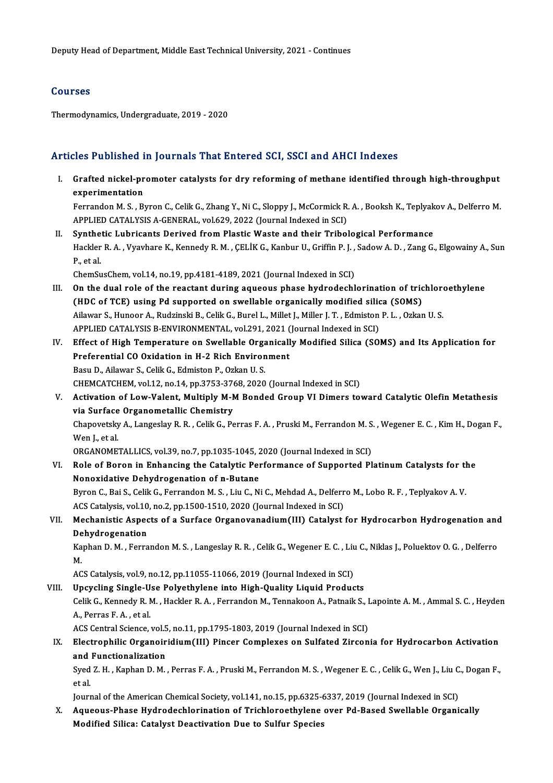# Courses

Thermodynamics, Undergraduate, 2019 - 2020

# Articles Published in Journals That Entered SCI, SSCI and AHCI Indexes

- I. Grafted nickel-promoter catalysts for dry reforming of methane identified through high-throughput<br>I. Grafted nickel-promoter catalysts for dry reforming of methane identified through high-throughput<br>An avratimentation experimentation<br>Grafted nickel-pr<br>Estrenden M.S., Br Grafted nickel-promoter catalysts for dry reforming of methane identified through high-throughput<br>experimentation<br>Ferrandon M. S. , Byron C., Celik G., Zhang Y., Ni C., Sloppy J., McCormick R. A. , Booksh K., Teplyakov A., experimentation<br>Ferrandon M. S. , Byron C., Celik G., Zhang Y., Ni C., Sloppy J., McCormick R.<br>APPLIED CATALYSIS A-GENERAL, vol.629, 2022 (Journal Indexed in SCI)<br>Synthetia Lubrisants Derived from Plastic Weste and their T Ferrandon M. S., Byron C., Celik G., Zhang Y., Ni C., Sloppy J., McCormick R. A., Booksh K., Teplyak<br>APPLIED CATALYSIS A-GENERAL, vol.629, 2022 (Journal Indexed in SCI)<br>II. Synthetic Lubricants Derived from Plastic Waste a
- APPLIED CATALYSIS A-GENERAL, vol.629, 2022 (Journal Indexed in SCI)<br><mark>Synthetic Lubricants Derived from Plastic Waste and their Tribological Performance</mark><br>Hackler R. A. , Vyavhare K., Kennedy R. M. , ÇELİK G., Kanbur U., Gri Synthe<br>Hackler<br>P., et al.<br>ChemSu Hackler R. A. , Vyavhare K., Kennedy R. M. , ÇELİK G., Kanbur U., Griffin P. J. ,<br>P., et al.<br>ChemSusChem, vol.14, no.19, pp.4181-4189, 2021 (Journal Indexed in SCI)<br>On the dual role of the reastant during asusesus phase hy

- P., et al.<br>ChemSusChem, vol.14, no.19, pp.4181-4189, 2021 (Journal Indexed in SCI)<br>III. On the dual role of the reactant during aqueous phase hydrodechlorination of trichloroethylene<br>(UDC of TCE) using Pd supported on swel ChemSusChem, vol.14, no.19, pp.4181-4189, 2021 (Journal Indexed in SCI)<br>On the dual role of the reactant during aqueous phase hydrodechlorination of tric<br>(HDC of TCE) using Pd supported on swellable organically modified si On the dual role of the reactant during aqueous phase hydrodechlorination of trichlore<br>(HDC of TCE) using Pd supported on swellable organically modified silica (SOMS)<br>Ailawar S., Hunoor A., Rudzinski B., Celik G., Burel L. (HDC of TCE) using Pd supported on swellable organically modified silica (SOMS)<br>Ailawar S., Hunoor A., Rudzinski B., Celik G., Burel L., Millet J., Miller J. T., Edmiston P. L., Ozkan U. S. Ailawar S., Hunoor A., Rudzinski B., Celik G., Burel L., Millet J., Miller J. T. , Edmiston P. L. , Ozkan U. S.<br>APPLIED CATALYSIS B-ENVIRONMENTAL, vol.291, 2021 (Journal Indexed in SCI)<br>IV. Effect of High Temperature on Sw
- APPLIED CATALYSIS B-ENVIRONMENTAL, vol.291, 2021 (Journal Indexed in SCI)<br>Effect of High Temperature on Swellable Organically Modified Silica (SO<br>Preferential CO Oxidation in H-2 Rich Environment<br>Basu D., Ailawar S., Celik Effect of High Temperature on Swellable Orga<br>Preferential CO Oxidation in H-2 Rich Environ<br>Basu D., Ailawar S., Celik G., Edmiston P., Ozkan U. S.<br>CHEMCATCHEM vol 12 no 14 nn 2752 2769 2020 CHEMCATCHEM,vol.12,no.14,pp.3753-3768,2020 (Journal Indexed inSCI) Basu D., Ailawar S., Celik G., Edmiston P., Ozkan U. S.<br>CHEMCATCHEM, vol.12, no.14, pp.3753-3768, 2020 (Journal Indexed in SCI)<br>V. Activation of Low-Valent, Multiply M-M Bonded Group VI Dimers toward Catalytic Olefin Metat
- CHEMCATCHEM, vol.12, no.14, pp.3753-376<br>Activation of Low-Valent, Multiply M-N<br>via Surface Organometallic Chemistry<br>Chanovately: A Jongsslav R. B. Collic C. Re Activation of Low-Valent, Multiply M-M Bonded Group VI Dimers toward Catalytic Olefin Metathesis<br>via Surface Organometallic Chemistry<br>Chapovetsky A., Langeslay R. R. , Celik G., Perras F. A. , Pruski M., Ferrandon M. S. , via Surface Organometallic Chemistry<br>Chapovetsky A., Langeslay R. R. , Celik G., P.<br>Wen J., et al. Chapovetsky A., Langeslay R. R. , Celik G., Perras F. A. , Pruski M., Ferrandon M. S<br>Wen J., et al.<br>ORGANOMETALLICS, vol.39, no.7, pp.1035-1045, 2020 (Journal Indexed in SCI)<br>Pele of Peren in Enhanging the Catalutie Borfor

ORGANOMETALLICS, vol.39, no.7, pp.1035-1045, 2020 (Journal Indexed in SCI)

VI. Role of Boron in Enhancing the Catalytic Performance of Supported Platinum Catalysts for the<br>Nonoxidative Dehydrogenation of n-Butane Role of Boron in Enhancing the Catalytic Performance of Supported Platinum Catalysts for the<br>Nonoxidative Dehydrogenation of n-Butane<br>Byron C., Bai S., Celik G., Ferrandon M. S. , Liu C., Ni C., Mehdad A., Delferro M., Lob

Nonoxidative Dehydrogenation of n-Butane<br>Byron C., Bai S., Celik G., Ferrandon M. S. , Liu C., Ni C., Mehdad A., Delferr<br>ACS Catalysis, vol.10, no.2, pp.1500-1510, 2020 (Journal Indexed in SCI)<br>Mechanistic Aspects of a Sur Byron C., Bai S., Celik G., Ferrandon M. S. , Liu C., Ni C., Mehdad A., Delferro M., Lobo R. F. , Teplyakov A. V.<br>ACS Catalysis, vol.10, no.2, pp.1500-1510, 2020 (Journal Indexed in SCI)<br>VII. Mechanistic Aspects of a Surfa

# ACS Catalysis, vol.10<br>Mechanistic Aspec<br>Dehydrogenation<br>Kanban D. M. Ferra Mechanistic Aspects of a Surface Organovanadium(III) Catalyst for Hydrocarbon Hydrogenation and<br>Dehydrogenation<br>Kaphan D. M. , Ferrandon M. S. , Langeslay R. R. , Celik G., Wegener E. C. , Liu C., Niklas J., Poluektov O. G

Dehydrogenation<br>Kaphan D. M. , Ferrandon M. S. , Langeslay R. R. , Celik G., Wegener E. C. , Liu C., Niklas J., Poluektov O. G. , Delferro<br>M. Kaphan D. M. , Ferrandon M. S. , Langeslay R. R. , Celik G., Wegener E. C. , Liu<br>M.<br>ACS Catalysis, vol.9, no.12, pp.11055-11066, 2019 (Journal Indexed in SCI)<br>Unaveling Single Hae Bolyothylone into High Quality Liquid Brod

M.<br>ACS Catalysis, vol.9, no.12, pp.11055-11066, 2019 (Journal Indexed in SCI)<br>VIII. Upcycling Single-Use Polyethylene into High-Quality Liquid Products<br>Calik G. Kennedy P. M. Hacklan P. A. Ferrander M. Tennekeen A. Petreik

ACS Catalysis, vol.9, no.12, pp.11055-11066, 2019 (Journal Indexed in SCI)<br>Upcycling Single-Use Polyethylene into High-Quality Liquid Products<br>Celik G., Kennedy R. M. , Hackler R. A. , Ferrandon M., Tennakoon A., Patnaik S Upcycling Single-Use Polyethylene into High-Quality Liquid Products<br>Celik G., Kennedy R. M. , Hackler R. A. , Ferrandon M., Tennakoon A., Patnaik S., J<br>A., Perras F. A. , et al.<br>ACS Central Science, vol.5, no.11, pp.1795-1 Celik G., Kennedy R. M. , Hackler R. A. , Ferrandon M., Tennakoon A., Patnaik S., I<br>A., Perras F. A. , et al.<br>ACS Central Science, vol.5, no.11, pp.1795-1803, 2019 (Journal Indexed in SCI)<br>Electronbilie Organoinidium (III)

A., Perras F. A. , et al.<br>ACS Central Science, vol.5, no.11, pp.1795-1803, 2019 (Journal Indexed in SCI)<br>IX. Electrophilic Organoiridium(III) Pincer Complexes on Sulfated Zirconia for Hydrocarbon Activation<br>and Eunctionali ACS Central Science, vol.5<br>Electrophilic Organoir<br>and Functionalization<br>Sued 7, H., Kaphan D. M. and Functionalization

Syed Z.H. , Kaphan D.M. , Perras F.A. , Pruski M., Ferrandon M.S. , Wegener E.C. , Celik G., Wen J., Liu C., Dogan F.,<br>et al. Syed Z. H. , Kaphan D. M. , Perras F. A. , Pruski M., Ferrandon M. S. , Wegener E. C. , Celik G., Wen J., Liu C<br>et al.<br>Journal of the American Chemical Society, vol.141, no.15, pp.6325-6337, 2019 (Journal Indexed in SCI)<br>A

X. Aqueous-Phase Hydrodechlorination of Trichloroethylene over Pd-Based Swellable Organically<br>Modified Silica: Catalyst Deactivation Due to Sulfur Species Journal of the American Chemical Society, vol.141, no.15, pp.6325-6<br>Aqueous-Phase Hydrodechlorination of Trichloroethylene<br>Modified Silica: Catalyst Deactivation Due to Sulfur Species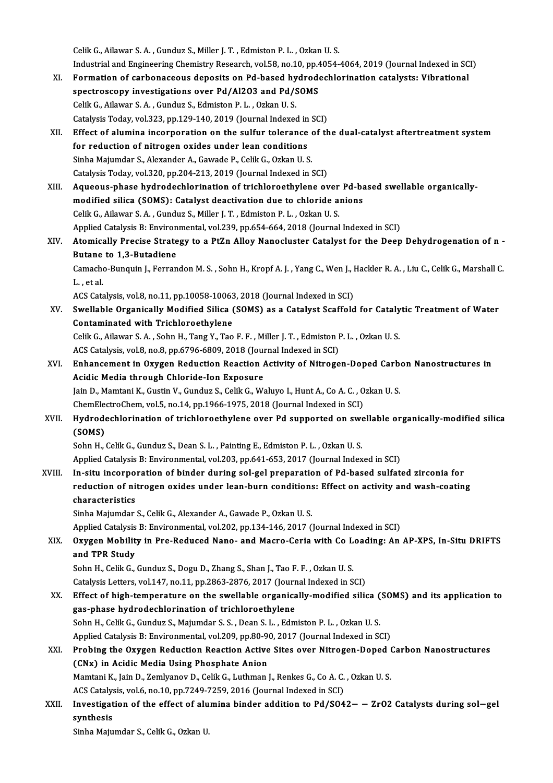CelikG.,Ailawar S.A. ,Gunduz S.,Miler J.T. ,EdmistonP.L. ,OzkanU.S.

Industrial and Engineering Chemistry Research, vol.58, no.10, pp.4054-4064, 2019 (Journal Indexed in SCI)

- XI. Formation of carbonaceous deposits on Pd-based hydrodechlorination catalysts: Vibrational Industrial and Engineering Chemistry Research, vol.58, no.10, pp.4<br>Formation of carbonaceous deposits on Pd-based hydrode<br>spectroscopy investigations over Pd/Al2O3 and Pd/SOMS Formation of carbonaceous deposits on Pd-based hy<br>spectroscopy investigations over Pd/Al2O3 and Pd/S.<br>Celik G., Ailawar S.A., Gunduz S., Edmiston P. L., Ozkan U.S. Celik G., Ailawar S. A., Gunduz S., Edmiston P. L., Ozkan U. S.<br>Catalysis Today, vol.323, pp.129-140, 2019 (Journal Indexed in SCI) Celik G., Ailawar S. A. , Gunduz S., Edmiston P. L. , Ozkan U. S.<br>Catalysis Today, vol.323, pp.129-140, 2019 (Journal Indexed in SCI)<br>XII. Effect of alumina incorporation on the sulfur tolerance of the dual-catalyst aftert
- Catalysis Today, vol.323, pp.129-140, 2019 (Journal Indexed in<br>Effect of alumina incorporation on the sulfur tolerance<br>for reduction of nitrogen oxides under lean conditions<br>Sinha Maiumdar S. Alavandar A. Gaunda B. Calik G Effect of alumina incorporation on the sulfur tolerance of<br>for reduction of nitrogen oxides under lean conditions<br>Sinha Majumdar S., Alexander A., Gawade P., Celik G., Ozkan U. S.<br>Cetalusis Today vel 320 pp 204-212-2019 (J for reduction of nitrogen oxides under lean conditions<br>Sinha Majumdar S., Alexander A., Gawade P., Celik G., Ozkan U. S.<br>Catalysis Today, vol.320, pp.204-213, 2019 (Journal Indexed in SCI) Sinha Majumdar S., Alexander A., Gawade P., Celik G., Ozkan U. S.<br>Catalysis Today, vol.320, pp.204-213, 2019 (Journal Indexed in SCI)<br>XIII. Aqueous-phase hydrodechlorination of trichloroethylene over Pd-based swellable org
- Catalysis Today, vol.320, pp.204-213, 2019 (Journal Indexed in SCI)<br>Aqueous-phase hydrodechlorination of trichloroethylene over Pd-ba<br>modified silica (SOMS): Catalyst deactivation due to chloride anions<br>Celik C. Ailowar S. Aqueous-phase hydrodechlorination of trichloroethylene over<br>modified silica (SOMS): Catalyst deactivation due to chloride a<br>Celik G., Ailawar S.A., Gunduz S., Miller J.T., Edmiston P.L., Ozkan U.S.<br>Annlied Catalysis B. Env modified silica (SOMS): Catalyst deactivation due to chloride anions<br>Celik G., Ailawar S. A. , Gunduz S., Miller J. T. , Edmiston P. L. , Ozkan U. S.<br>Applied Catalysis B: Environmental, vol.239, pp.654-664, 2018 (Journal I
- Celik G., Ailawar S. A. , Gunduz S., Miller J. T. , Edmiston P. L. , Ozkan U. S.<br>Applied Catalysis B: Environmental, vol.239, pp.654-664, 2018 (Journal Indexed in SCI)<br>XIV. Atomically Precise Strategy to a PtZn Alloy Nanoc Applied Catalysis B: Environ<br>Atomically Precise Strate<br>Butane to 1,3-Butadiene<br>Camacha Bunguin L. Forran Atomically Precise Strategy to a PtZn Alloy Nanocluster Catalyst for the Deep Dehydrogenation of n -<br>Butane to 1,3-Butadiene<br>Camacho-Bunquin J., Ferrandon M. S. , Sohn H., Kropf A. J. , Yang C., Wen J., Hackler R. A. , Liu **Butane<br>Camache<br>L., et al.**

Camacho-Bunquin J., Ferrandon M. S. , Sohn H., Kropf A. J. , Yang C., Wen J., I<br>L. , et al.<br>ACS Catalysis, vol.8, no.11, pp.10058-10063, 2018 (Journal Indexed in SCI)<br>Swellable Organiselly, Modified Silise (SOMS) as a Cata

L. , et al.<br>ACS Catalysis, vol.8, no.11, pp.10058-10063, 2018 (Journal Indexed in SCI)<br>XV. Swellable Organically Modified Silica (SOMS) as a Catalyst Scaffold for Catalytic Treatment of Water<br>Contaminated with Trichlon ACS Catalysis, vol.8, no.11, pp.10058-10063<br>Swellable Organically Modified Silica (<br>Contaminated with Trichloroethylene Swellable Organically Modified Silica (SOMS) as a Catalyst Scaffold for Cataly<br>Contaminated with Trichloroethylene<br>Celik G., Ailawar S.A. , Sohn H., Tang Y., Tao F.F. , Miller J. T. , Edmiston P. L. , Ozkan U.S.<br>ACS Cataly

Contaminated with Trichloroethylene<br>Celik G., Ailawar S. A. , Sohn H., Tang Y., Tao F. F. , Miller J. T. , Edmiston I<br>ACS Catalysis, vol.8, no.8, pp.6796-6809, 2018 (Journal Indexed in SCI)<br>Enhancement in Ovygen Beduction

Celik G., Ailawar S. A. , Sohn H., Tang Y., Tao F. F. , Miller J. T. , Edmiston P. L. , Ozkan U. S.<br>ACS Catalysis, vol.8, no.8, pp.6796-6809, 2018 (Journal Indexed in SCI)<br>XVI. Enhancement in Oxygen Reduction Reaction Acti ACS Catalysis, vol.8, no.8, pp.6796-6809, 2018 (Journancement in Oxygen Reduction Reaction Acidic Media through Chloride-Ion Exposure Enhancement in Oxygen Reduction Reaction Activity of Nitrogen-Doped Carb<br>Acidic Media through Chloride-Ion Exposure<br>Jain D., Mamtani K., Gustin V., Gunduz S., Celik G., Waluyo I., Hunt A., Co A. C. , Ozkan U. S.<br>ChamElestr Acidic Media through Chloride-Ion Exposure<br>Jain D., Mamtani K., Gustin V., Gunduz S., Celik G., Waluyo I., Hunt A., Co A. C. , Ozkan U. S.

Jain D., Mamtani K., Gustin V., Gunduz S., Celik G., Waluyo I., Hunt A., Co A. C. , Ozkan U. S.<br>ChemElectroChem, vol.5, no.14, pp.1966-1975, 2018 (Journal Indexed in SCI)<br>XVII. Hydrodechlorination of trichloroethylene over ChemElectroChem, vol.5, no.14, pp.1966-1975, 2018 (Journal Indexed in SCI)<br>Hydrodechlorination of trichloroethylene over Pd supported on swe<br>(SOMS)<br>Sohn H., Celik G., Gunduz S., Dean S. L., Painting E., Edmiston P. L., Ozk Hydrodechlorination of trichloroethylene over Pd supported on swe<br>(SOMS)<br>Sohn H., Celik G., Gunduz S., Dean S. L. , Painting E., Edmiston P. L. , Ozkan U. S.<br>Annlied Cetalusia B. Environmental vol 202, an 644, 652, 2017 (J

Applied Catalysis B: Environmental, vol.203, pp.641-653, 2017 (Journal Indexed in SCI)

Sohn H., Celik G., Gunduz S., Dean S. L. , Painting E., Edmiston P. L. , Ozkan U. S.<br>Applied Catalysis B: Environmental, vol.203, pp.641-653, 2017 (Journal Indexed in SCI)<br>XVIII. In-situ incorporation of binder during sol-Applied Catalysis B: Environmental, vol.203, pp.641-653, 2017 (Journal Indexed in SCI)<br>In-situ incorporation of binder during sol-gel preparation of Pd-based sulfated zirconia for<br>reduction of nitrogen oxides under lean-bu In-situ incorpo<br>reduction of ni<br>characteristics<br>Sinha Majumdar reduction of nitrogen oxides under lean-burn conditions<br>characteristics<br>Sinha Majumdar S., Celik G., Alexander A., Gawade P., Ozkan U. S.<br>Annlied Cetalusia B. Environmental vol 202, nn 134, 146, 2017 ( characteristics<br>Sinha Majumdar S., Celik G., Alexander A., Gawade P., Ozkan U. S.<br>Applied Catalysis B: Environmental, vol.202, pp.134-146, 2017 (Journal Indexed in SCI)<br>Ouvgen Mability in Pre-Reduced Nane, and Magne Garia

Sinha Majumdar S., Celik G., Alexander A., Gawade P., Ozkan U. S.<br>Applied Catalysis B: Environmental, vol.202, pp.134-146, 2017 (Journal Indexed in SCI)<br>XIX. Oxygen Mobility in Pre-Reduced Nano- and Macro-Ceria with Co Applied Catalysis<br>Oxygen Mobilit<br>and TPR Study<br>Sehn H. Celik C Oxygen Mobility in Pre-Reduced Nano- and Macro-Ceria with Co L<br>and TPR Study<br>Sohn H., Celik G., Gunduz S., Dogu D., Zhang S., Shan J., Tao F. F. , Ozkan U. S.<br>Cetalysis Letters vol.147, no.11, np.3963, 3976, 2017. (Journal and TPR Study<br>Sohn H., Celik G., Gunduz S., Dogu D., Zhang S., Shan J., Tao F. F. , Ozkan U. S.<br>Catalysis Letters, vol.147, no.11, pp.2863-2876, 2017 (Journal Indexed in SCI)

- Sohn H., Celik G., Gunduz S., Dogu D., Zhang S., Shan J., Tao F. F. , Ozkan U. S.<br>Catalysis Letters, vol.147, no.11, pp.2863-2876, 2017 (Journal Indexed in SCI)<br>XX. Effect of high-temperature on the swellable organically-m Catalysis Letters, vol.147, no.11, pp.2863-2876, 2017 (Journ<br>Effect of high-temperature on the swellable organical<br>gas-phase hydrodechlorination of trichloroethylene Effect of high-temperature on the swellable organically-modified silica (<br>gas-phase hydrodechlorination of trichloroethylene<br>Sohn H., Celik G., Gunduz S., Majumdar S. S. , Dean S. L. , Edmiston P. L. , Ozkan U. S.<br>Annlied gas-phase hydrodechlorination of trichloroethylene<br>Sohn H., Celik G., Gunduz S., Majumdar S. S. , Dean S. L. , Edmiston P. L. , Ozkan U. S.<br>Applied Catalysis B: Environmental, vol.209, pp.80-90, 2017 (Journal Indexed in SC Sohn H., Celik G., Gunduz S., Majumdar S. S. , Dean S. L. , Edmiston P. L. , Ozkan U. S.<br>Applied Catalysis B: Environmental, vol.209, pp.80-90, 2017 (Journal Indexed in SCI)<br>XXI. Probing the Oxygen Reduction Reaction Activ
- Applied Catalysis B: Environmental, vol.209, pp.80-9<br>Probing the Oxygen Reduction Reaction Active<br>(CNx) in Acidic Media Using Phosphate Anion<br>Memtani K, Jain D, Zemlyanov D, Calik C, Juthman Probing the Oxygen Reduction Reaction Active Sites over Nitrogen-Doped (<br>(CNx) in Acidic Media Using Phosphate Anion<br>Mamtani K., Jain D., Zemlyanov D., Celik G., Luthman J., Renkes G., Co A. C. , Ozkan U. S. (CNx) in Acidic Media Using Phosphate Anion<br>Mamtani K., Jain D., Zemlyanov D., Celik G., Luthman J., Renkes G., Co A. C. , Ozkan U. S.

ACS Catalysis, vol.6, no.10, pp.7249-7259, 2016 (Journal Indexed in SCI)

XXII. Investigation of the effect of alumina binder addition to Pd/SO42− − ZrO2 Catalysts during sol−gel synthesis

Sinha Majumdar S., Celik G., Ozkan U.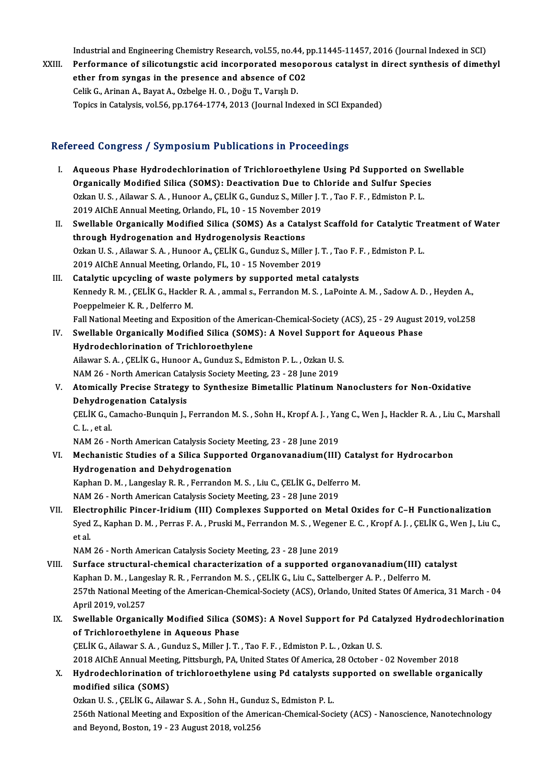Industrial and Engineering Chemistry Research, vol.55, no.44, pp.11445-11457, 2016 (Journal Indexed in SCI)<br>Performance of silicaturgatic acid incorporated mecononeus catalust in dinest sunthesis of dimet

XXIII. Performance of silicotungstic acid incorporated mesoporous catalyst in direct synthesis of dimethyl<br>ether from syngas in the presence and absence of CO2 Industrial and Engineering Chemistry Research, vol.55, no.44, p<br>Performance of silicotungstic acid incorporated mesopether from syngas in the presence and absence of CO2<br>Celil: C. Arinan A. Baynt A. Orbelse H.O., Deču T. V CelikG.,ArinanA.,BayatA.,OzbelgeH.O. ,DoğuT.,VarışlıD. Topics in Catalysis, vol.56, pp.1764-1774, 2013 (Journal Indexed in SCI Expanded)

## Refereed Congress / Symposium Publications in Proceedings

- efereed Congress / Symposium Publications in Proceedings<br>I. Aqueous Phase Hydrodechlorination of Trichloroethylene Using Pd Supported on Swellable<br>Organiselly Modified Silice (SOMS): Deastivation Due to Chloride and Sulfur Aqueous Phase Hydrodechlorination of Trichloroethylene Using Pd Supported on Sw<br>Organically Modified Silica (SOMS): Deactivation Due to Chloride and Sulfur Species<br>Orkan U.S., Ailowar S.A., Hunger A. CELIK C. Cundur S. Mil Aqueous Phase Hydrodechlorination of Trichloroethylene Using Pd Supported on :<br>Organically Modified Silica (SOMS): Deactivation Due to Chloride and Sulfur Specie<br>Ozkan U.S., Ailawar S.A., Hunoor A., ÇELİK G., Gunduz S., Mi Organically Modified Silica (SOMS): Deactivation Due to Ch<br>Ozkan U.S., Ailawar S.A., Hunoor A., ÇELİK G., Gunduz S., Miller J. 1<br>2019 AIChE Annual Meeting, Orlando, FL, 10 - 15 November 2019<br>Swellable Organically Modified Ozkan U.S., Ailawar S.A., Hunoor A., ÇELİK G., Gunduz S., Miller J.T., Tao F.F., Edmiston P.L.<br>2019 AIChE Annual Meeting, Orlando, FL, 10 - 15 November 2019<br>II. Swellable Organically Modified Silica (SOMS) As a Catalyst Sc
- 2019 AIChE Annual Meeting, Orlando, FL, 10 15 November 2019<br>Swellable Organically Modified Silica (SOMS) As a Catalyst<br>through Hydrogenation and Hydrogenolysis Reactions Swellable Organically Modified Silica (SOMS) As a Catalyst Scaffold for Catalytic Tr<br>through Hydrogenation and Hydrogenolysis Reactions<br>Ozkan U.S., Ailawar S.A., Hunoor A., ÇELİK G., Gunduz S., Miller J.T., Tao F.F., Edmis Ozkan U. S. , Ailawar S. A. , Hunoor A., ÇELİK G., Gunduz S., Miller J. T. , Tao F. F. , Edmiston P. L.<br>2019 AIChE Annual Meeting, Orlando, FL, 10 - 15 November 2019 Ozkan U.S., Ailawar S.A., Hunoor A., ÇELİK G., Gunduz S., Miller J.T., Tao F. 1<br>2019 AIChE Annual Meeting, Orlando, FL, 10 - 15 November 2019<br>III. Catalytic upcycling of waste polymers by supported metal catalysts<br>Kannady
- Kennedy R. M. , ÇELİK G., Hackler R. A. , ammal s., Ferrandon M. S. , LaPointe A. M. , Sadow A. D. , Heyden A.,<br>Poeppelmeier K. R. , Delferro M. Catalytic upcycling of waste<br>Kennedy R. M. , ÇELİK G., Hackle<br>Poeppelmeier K. R. , Delferro M.<br>Fall National Meeting and Eynos Fall National Meeting and Exposition of the American-Chemical-Society (ACS), 25 - 29 August 2019, vol.258 Poeppelmeier K. R. , Delferro M.<br>Fall National Meeting and Exposition of the American-Chemical-Society (ACS), 25 - 29 August<br>IV. Swellable Organically Modified Silica (SOMS): A Novel Support for Aqueous Phase<br>Hydrodechlori
- Fall National Meeting and Exposition of the Amer<br>Swellable Organically Modified Silica (SOM<br>Hydrodechlorination of Trichloroethylene<br>Ailawar S.A., CELUC, Hunger A. Gundur S. Ed. Swellable Organically Modified Silica (SOMS): A Novel Support f<br>Hydrodechlorination of Trichloroethylene<br>Ailawar S. A. , ÇELİK G., Hunoor A., Gunduz S., Edmiston P. L. , Ozkan U. S.<br>NAM 26. North American Catalysis Sosisty Hydrodechlorination of Trichloroethylene<br>Ailawar S. A., ÇELİK G., Hunoor A., Gunduz S., Edmiston P. L., Ozkan U. S. Ailawar S. A. , ÇELİK G., Hunoor A., Gunduz S., Edmiston P. L. , Ozkan U. S.<br>NAM 26 - North American Catalysis Society Meeting, 23 - 28 June 2019<br>V. Atomically Precise Strategy to Synthesize Bimetallic Platinum Nanocluster
- NAM 26 North American Catalysis Society Meeting, 23 28 June 2019<br>Atomically Precise Strategy to Synthesize Bimetallic Platinum Nanoclusters for Non-Oxidative<br>Dehydrogenation Catalysis<br>CELİK G., Camacho-Bunquin J., Ferr Atomically Precise Strategy to Synthesize Bimetallic Platinum Nanoclusters for Non-Oxidative<br>Dehydrogenation Catalysis<br>ÇELİK G., Camacho-Bunquin J., Ferrandon M. S. , Sohn H., Kropf A. J. , Yang C., Wen J., Hackler R. A. ,

Dehydrogenation Catalysis<br>CELIK G., Camacho-Bunquin J.,<br>C. L. . et al. CELİK G., Camacho-Bunquin J., Ferrandon M. S. , Sohn H., Kropf A. J. , Ya:<br>C. L. , et al.<br>NAM 26 - North American Catalysis Society Meeting, 23 - 28 June 2019<br>Mechanistis Studies of a Silice Sunnarted Oxeanevanedium(III)

- C. L. , et al.<br>NAM 26 North American Catalysis Society Meeting, 23 28 June 2019<br>VI. Mechanistic Studies of a Silica Supported Organovanadium(III) Catalyst for Hydrocarbon<br>Hydrogenation and Debydrogenation NAM 26 - North American Catalysis Society<br>Mechanistic Studies of a Silica Suppor<br>Hydrogenation and Dehydrogenation<br>Kanban D.M. Langsslav B.B. Ferranden Mechanistic Studies of a Silica Supported Organovanadium(III) Cata<br>Hydrogenation and Dehydrogenation<br>Kaphan D. M. , Langeslay R. R. , Ferrandon M. S. , Liu C., ÇELİK G., Delferro M.<br>NAM 26. North American Catalysis Sociaty Hydrogenation and Dehydrogenation<br>Kaphan D. M. , Langeslay R. R. , Ferrandon M. S. , Liu C., ÇELİK G., Delferro M.<br>NAM 26 - North American Catalysis Society Meeting, 23 - 28 June 2019 Kaphan D. M., Langeslay R. R., Ferrandon M. S., Liu C., ÇELİK G., Delferro M.<br>NAM 26 - North American Catalysis Society Meeting, 23 - 28 June 2019<br>VII. Electrophilic Pincer-Iridium (III) Complexes Supported on Metal Oxides
- NAM 26 North American Catalysis Society Meeting, 23 28 June 2019<br>Electrophilic Pincer-Iridium (III) Complexes Supported on Metal Oxides for C–H Functionalization<br>Syed Z., Kaphan D. M. , Perras F. A. , Pruski M., Ferran Elect<br>Syed<br>et al.<br>NAM Syed Z., Kaphan D. M. , Perras F. A. , Pruski M., Ferrandon M. S. , Wegener E. C. , Kropf A. J. , ÇELİK G., Wen J., Liu C.,<br>et al.<br>NAM 26 - North American Catalysis Society Meeting, 23 - 28 June 2019

- et al.<br>NAM 26 North American Catalysis Society Meeting, 23 28 June 2019<br>VIII. Surface structural-chemical characterization of a supported organovanadium(III) catalyst<br>Kapkan D. M. Jangelay B. B. Ferrandon M. S. CELIV.C NAM 26 - North American Catalysis Society Meeting, 23 - 28 June 2019<br>Surface structural-chemical characterization of a supported organovanadium(III) ca<br>Kaphan D. M. , Langeslay R. R. , Ferrandon M. S. , ÇELİK G., Liu C., S 257th National Meeting of the American-Chemical-Society (ACS), Orlando, United States Of America, 31 March -04<br>April 2019, vol.257 Kaphan D. M., Langeslay R. R., Ferrandon M. S., CELİK G., Liu C., Sattelberger A. P., Delferro M. 257th National Meeting of the American-Chemical-Society (ACS), Orlando, United States Of America, 31 March - 04<br>April 2019, vol.257<br>IX. Swellable Organically Modified Silica (SOMS): A Novel Support for Pd Catalyzed Hydrode
- of Trichloroethylene in Aqueous Phase<br>CELIK G., Ailawar S. A. , Gunduz S., Miller J. T. , Tao F. F. , Edmiston P. L. , Ozkan U. S. Swellable Organically Modified Silica (SOMS): A Novel Support for Pd Car<br>of Trichloroethylene in Aqueous Phase<br>CELİK G., Ailawar S.A. , Gunduz S., Miller J. T. , Tao F. F. , Edmiston P. L. , Ozkan U. S.<br>2018 AJChE Annual M 2018 AIChE Annual Meeting, Pittsburgh, PA, United States Of America, 28 October - 02 November 2018 CELIK G., Ailawar S. A. , Gunduz S., Miller J. T. , Tao F. F. , Edmiston P. L. , Ozkan U. S.<br>2018 AIChE Annual Meeting, Pittsburgh, PA, United States Of America, 28 October - 02 November 2018<br>X. Hydrodechlorination of tric
- 2018 AIChE Annual Meetin<br>Hydrodechlorination of<br>modified silica (SOMS)<br>Orkan U.S., CELUC, Ailas Hydrodechlorination of trichloroethylene using Pd catalysts s<br>modified silica (SOMS)<br>Ozkan U.S., ÇELİK G., Ailawar S.A., Sohn H., Gunduz S., Edmiston P. L.<br>256th National Meeting and Eunesition of the American Chamical Soc

modified silica (SOMS)<br>Ozkan U. S. , ÇELİK G., Ailawar S. A. , Sohn H., Gunduz S., Edmiston P. L.<br>256th National Meeting and Exposition of the American-Chemical-Society (ACS) - Nanoscience, Nanotechnology<br>and Beyond, Bosto Ozkan U.S., ÇELİK G., Ailawar S.A., Sohn H., Gunduz S., Edmiston P.L.